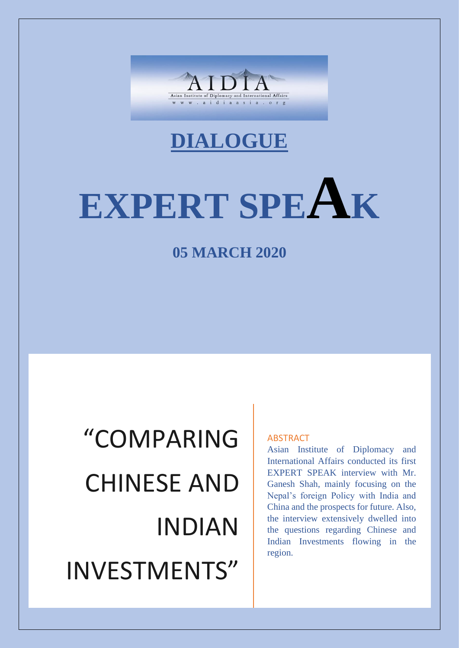

### **DIALOGUE**

# **EXPERT SPEA<sup>K</sup>**

**05 MARCH 2020**

## "COMPARING CHINESE AND INDIAN INVESTMENTS"

#### **ABSTRACT**

Asian Institute of Diplomacy and International Affairs conducted its first EXPERT SPEAK interview with Mr. Ganesh Shah, mainly focusing on the Nepal's foreign Policy with India and China and the prospects for future. Also, the interview extensively dwelled into the questions regarding Chinese and Indian Investments flowing in the region.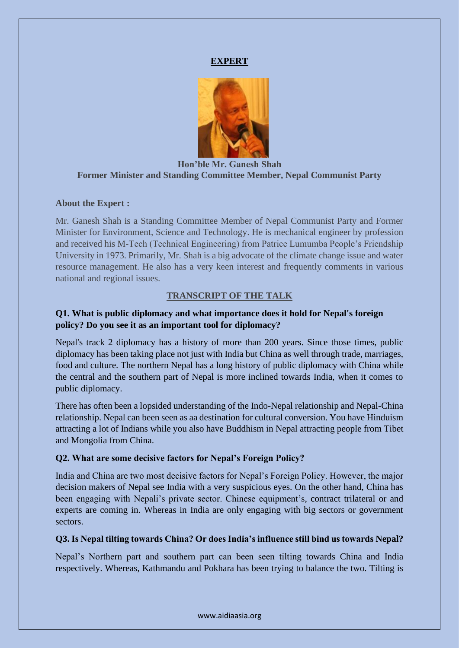#### **EXPERT**



#### **Hon'ble Mr. Ganesh Shah Former Minister and Standing Committee Member, Nepal Communist Party**

#### **About the Expert :**

Mr. Ganesh Shah is a Standing Committee Member of Nepal Communist Party and Former Minister for Environment, Science and Technology. He is mechanical engineer by profession and received his M-Tech (Technical Engineering) from Patrice Lumumba People's Friendship University in 1973. Primarily, Mr. Shah is a big advocate of the climate change issue and water resource management. He also has a very keen interest and frequently comments in various national and regional issues.

#### **TRANSCRIPT OF THE TALK**

#### **Q1. What is public diplomacy and what importance does it hold for Nepal's foreign policy? Do you see it as an important tool for diplomacy?**

Nepal's track 2 diplomacy has a history of more than 200 years. Since those times, public diplomacy has been taking place not just with India but China as well through trade, marriages, food and culture. The northern Nepal has a long history of public diplomacy with China while the central and the southern part of Nepal is more inclined towards India, when it comes to public diplomacy.

There has often been a lopsided understanding of the Indo-Nepal relationship and Nepal-China relationship. Nepal can been seen as aa destination for cultural conversion. You have Hinduism attracting a lot of Indians while you also have Buddhism in Nepal attracting people from Tibet and Mongolia from China.

#### **Q2. What are some decisive factors for Nepal's Foreign Policy?**

India and China are two most decisive factors for Nepal's Foreign Policy. However, the major decision makers of Nepal see India with a very suspicious eyes. On the other hand, China has been engaging with Nepali's private sector. Chinese equipment's, contract trilateral or and experts are coming in. Whereas in India are only engaging with big sectors or government sectors.

#### **Q3. Is Nepal tilting towards China? Or does India's influence still bind us towards Nepal?**

Nepal's Northern part and southern part can been seen tilting towards China and India respectively. Whereas, Kathmandu and Pokhara has been trying to balance the two. Tilting is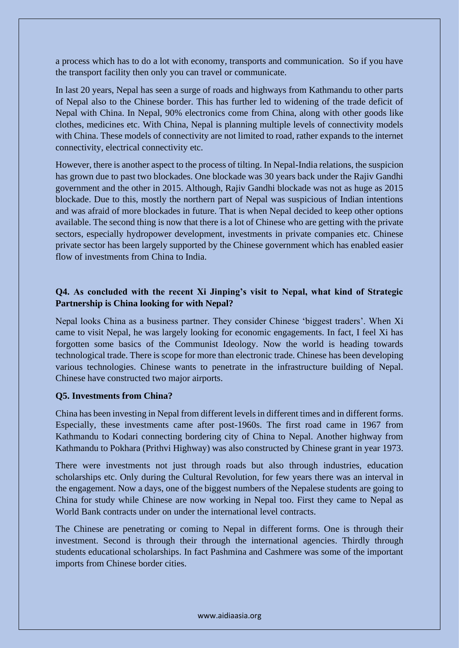a process which has to do a lot with economy, transports and communication. So if you have the transport facility then only you can travel or communicate.

In last 20 years, Nepal has seen a surge of roads and highways from Kathmandu to other parts of Nepal also to the Chinese border. This has further led to widening of the trade deficit of Nepal with China. In Nepal, 90% electronics come from China, along with other goods like clothes, medicines etc. With China, Nepal is planning multiple levels of connectivity models with China. These models of connectivity are not limited to road, rather expands to the internet connectivity, electrical connectivity etc.

However, there is another aspect to the process of tilting. In Nepal-India relations, the suspicion has grown due to past two blockades. One blockade was 30 years back under the Rajiv Gandhi government and the other in 2015. Although, Rajiv Gandhi blockade was not as huge as 2015 blockade. Due to this, mostly the northern part of Nepal was suspicious of Indian intentions and was afraid of more blockades in future. That is when Nepal decided to keep other options available. The second thing is now that there is a lot of Chinese who are getting with the private sectors, especially hydropower development, investments in private companies etc. Chinese private sector has been largely supported by the Chinese government which has enabled easier flow of investments from China to India.

#### **Q4. As concluded with the recent Xi Jinping's visit to Nepal, what kind of Strategic Partnership is China looking for with Nepal?**

Nepal looks China as a business partner. They consider Chinese 'biggest traders'. When Xi came to visit Nepal, he was largely looking for economic engagements. In fact, I feel Xi has forgotten some basics of the Communist Ideology. Now the world is heading towards technological trade. There is scope for more than electronic trade. Chinese has been developing various technologies. Chinese wants to penetrate in the infrastructure building of Nepal. Chinese have constructed two major airports.

#### **Q5. Investments from China?**

China has been investing in Nepal from different levels in different times and in different forms. Especially, these investments came after post-1960s. The first road came in 1967 from Kathmandu to Kodari connecting bordering city of China to Nepal. Another highway from Kathmandu to Pokhara (Prithvi Highway) was also constructed by Chinese grant in year 1973.

There were investments not just through roads but also through industries, education scholarships etc. Only during the Cultural Revolution, for few years there was an interval in the engagement. Now a days, one of the biggest numbers of the Nepalese students are going to China for study while Chinese are now working in Nepal too. First they came to Nepal as World Bank contracts under on under the international level contracts.

The Chinese are penetrating or coming to Nepal in different forms. One is through their investment. Second is through their through the international agencies. Thirdly through students educational scholarships. In fact Pashmina and Cashmere was some of the important imports from Chinese border cities.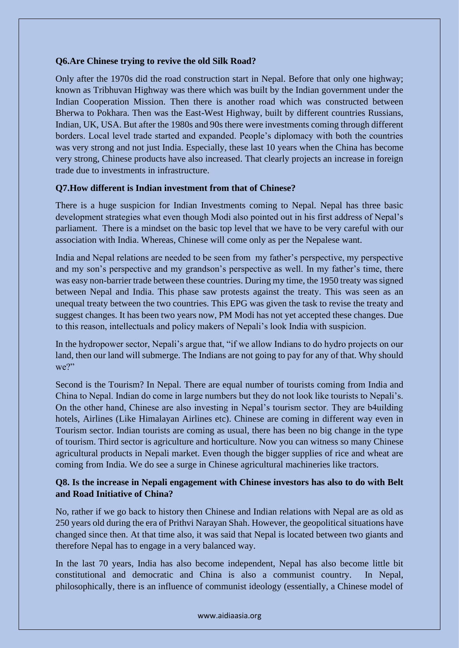#### **Q6.Are Chinese trying to revive the old Silk Road?**

Only after the 1970s did the road construction start in Nepal. Before that only one highway; known as Tribhuvan Highway was there which was built by the Indian government under the Indian Cooperation Mission. Then there is another road which was constructed between Bherwa to Pokhara. Then was the East-West Highway, built by different countries Russians, Indian, UK, USA. But after the 1980s and 90s there were investments coming through different borders. Local level trade started and expanded. People's diplomacy with both the countries was very strong and not just India. Especially, these last 10 years when the China has become very strong, Chinese products have also increased. That clearly projects an increase in foreign trade due to investments in infrastructure.

#### **Q7.How different is Indian investment from that of Chinese?**

There is a huge suspicion for Indian Investments coming to Nepal. Nepal has three basic development strategies what even though Modi also pointed out in his first address of Nepal's parliament. There is a mindset on the basic top level that we have to be very careful with our association with India. Whereas, Chinese will come only as per the Nepalese want.

India and Nepal relations are needed to be seen from my father's perspective, my perspective and my son's perspective and my grandson's perspective as well. In my father's time, there was easy non-barrier trade between these countries. During my time, the 1950 treaty was signed between Nepal and India. This phase saw protests against the treaty. This was seen as an unequal treaty between the two countries. This EPG was given the task to revise the treaty and suggest changes. It has been two years now, PM Modi has not yet accepted these changes. Due to this reason, intellectuals and policy makers of Nepali's look India with suspicion.

In the hydropower sector, Nepali's argue that, "if we allow Indians to do hydro projects on our land, then our land will submerge. The Indians are not going to pay for any of that. Why should we?"

Second is the Tourism? In Nepal. There are equal number of tourists coming from India and China to Nepal. Indian do come in large numbers but they do not look like tourists to Nepali's. On the other hand, Chinese are also investing in Nepal's tourism sector. They are b4uilding hotels, Airlines (Like Himalayan Airlines etc). Chinese are coming in different way even in Tourism sector. Indian tourists are coming as usual, there has been no big change in the type of tourism. Third sector is agriculture and horticulture. Now you can witness so many Chinese agricultural products in Nepali market. Even though the bigger supplies of rice and wheat are coming from India. We do see a surge in Chinese agricultural machineries like tractors.

#### **Q8. Is the increase in Nepali engagement with Chinese investors has also to do with Belt and Road Initiative of China?**

No, rather if we go back to history then Chinese and Indian relations with Nepal are as old as 250 years old during the era of Prithvi Narayan Shah. However, the geopolitical situations have changed since then. At that time also, it was said that Nepal is located between two giants and therefore Nepal has to engage in a very balanced way.

In the last 70 years, India has also become independent, Nepal has also become little bit constitutional and democratic and China is also a communist country. In Nepal, philosophically, there is an influence of communist ideology (essentially, a Chinese model of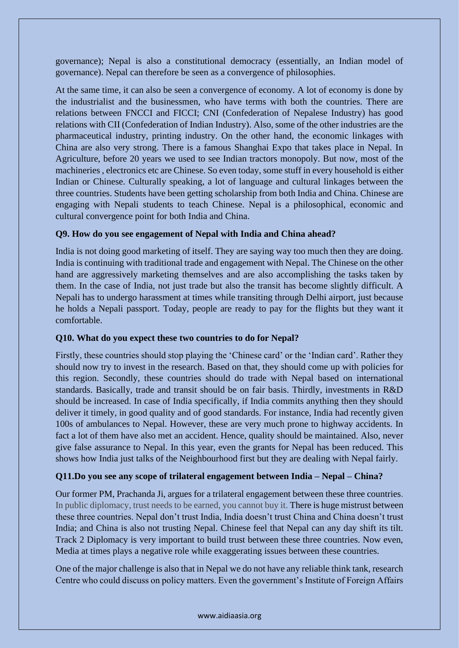governance); Nepal is also a constitutional democracy (essentially, an Indian model of governance). Nepal can therefore be seen as a convergence of philosophies.

At the same time, it can also be seen a convergence of economy. A lot of economy is done by the industrialist and the businessmen, who have terms with both the countries. There are relations between FNCCI and FICCI; CNI (Confederation of Nepalese Industry) has good relations with CII (Confederation of Indian Industry). Also, some of the other industries are the pharmaceutical industry, printing industry. On the other hand, the economic linkages with China are also very strong. There is a famous Shanghai Expo that takes place in Nepal. In Agriculture, before 20 years we used to see Indian tractors monopoly. But now, most of the machineries , electronics etc are Chinese. So even today, some stuff in every household is either Indian or Chinese. Culturally speaking, a lot of language and cultural linkages between the three countries. Students have been getting scholarship from both India and China. Chinese are engaging with Nepali students to teach Chinese. Nepal is a philosophical, economic and cultural convergence point for both India and China.

#### **Q9. How do you see engagement of Nepal with India and China ahead?**

India is not doing good marketing of itself. They are saying way too much then they are doing. India is continuing with traditional trade and engagement with Nepal. The Chinese on the other hand are aggressively marketing themselves and are also accomplishing the tasks taken by them. In the case of India, not just trade but also the transit has become slightly difficult. A Nepali has to undergo harassment at times while transiting through Delhi airport, just because he holds a Nepali passport. Today, people are ready to pay for the flights but they want it comfortable.

#### **Q10. What do you expect these two countries to do for Nepal?**

Firstly, these countries should stop playing the 'Chinese card' or the 'Indian card'. Rather they should now try to invest in the research. Based on that, they should come up with policies for this region. Secondly, these countries should do trade with Nepal based on international standards. Basically, trade and transit should be on fair basis. Thirdly, investments in R&D should be increased. In case of India specifically, if India commits anything then they should deliver it timely, in good quality and of good standards. For instance, India had recently given 100s of ambulances to Nepal. However, these are very much prone to highway accidents. In fact a lot of them have also met an accident. Hence, quality should be maintained. Also, never give false assurance to Nepal. In this year, even the grants for Nepal has been reduced. This shows how India just talks of the Neighbourhood first but they are dealing with Nepal fairly.

#### **Q11.Do you see any scope of trilateral engagement between India – Nepal – China?**

Our former PM, Prachanda Ji, argues for a trilateral engagement between these three countries. In public diplomacy, trust needs to be earned, you cannot buy it. There is huge mistrust between these three countries. Nepal don't trust India, India doesn't trust China and China doesn't trust India; and China is also not trusting Nepal. Chinese feel that Nepal can any day shift its tilt. Track 2 Diplomacy is very important to build trust between these three countries. Now even, Media at times plays a negative role while exaggerating issues between these countries.

One of the major challenge is also that in Nepal we do not have any reliable think tank, research Centre who could discuss on policy matters. Even the government's Institute of Foreign Affairs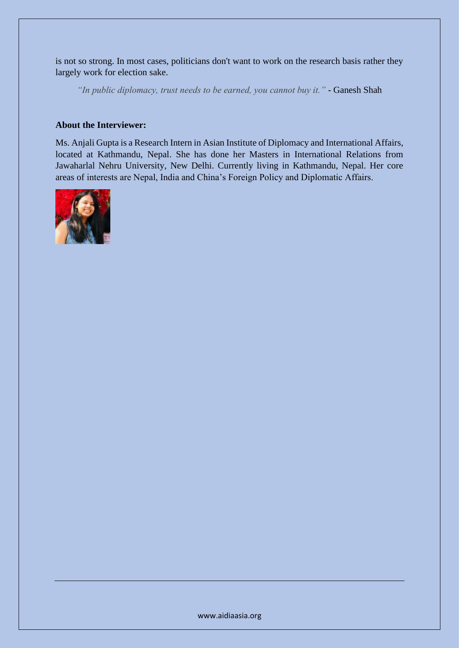is not so strong. In most cases, politicians don't want to work on the research basis rather they largely work for election sake.

*"In public diplomacy, trust needs to be earned, you cannot buy it."* - Ganesh Shah

#### **About the Interviewer:**

Ms. Anjali Gupta is a Research Intern in Asian Institute of Diplomacy and International Affairs, located at Kathmandu, Nepal. She has done her Masters in International Relations from Jawaharlal Nehru University, New Delhi. Currently living in Kathmandu, Nepal. Her core areas of interests are Nepal, India and China's Foreign Policy and Diplomatic Affairs.